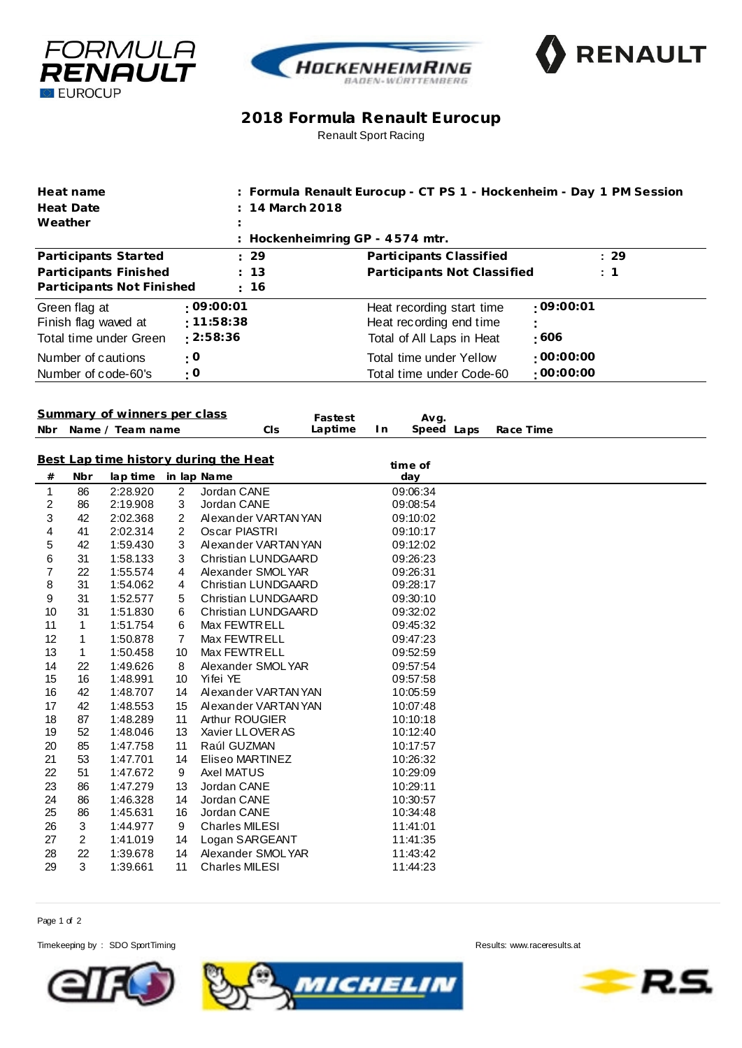





## **2018 Formula Renault Eurocup** Renault Sport Racing

| Heat name                          |                                           |                           |           |                                             | : Formula Renault Eurocup - CT PS 1 - Hockenheim - Day 1 PM Session |           |  |  |  |  |  |
|------------------------------------|-------------------------------------------|---------------------------|-----------|---------------------------------------------|---------------------------------------------------------------------|-----------|--|--|--|--|--|
| <b>Heat Date</b>                   |                                           |                           |           | 14 March 2018                               |                                                                     |           |  |  |  |  |  |
| Weather                            |                                           |                           |           |                                             |                                                                     |           |  |  |  |  |  |
|                                    |                                           |                           |           | Hockenheimring GP - 4574 mtr.               |                                                                     |           |  |  |  |  |  |
|                                    |                                           | Participants Started      |           | 29                                          | Participants Classified                                             | : 29      |  |  |  |  |  |
| 13<br>Participants Finished        |                                           |                           |           |                                             | Participants Not Classified<br>: 1                                  |           |  |  |  |  |  |
|                                    |                                           | Participants Not Finished |           | 16                                          |                                                                     |           |  |  |  |  |  |
|                                    | Green flag at                             |                           |           | :09:00:01                                   | Heat recording start time                                           | :09:00:01 |  |  |  |  |  |
| : 11:58:38<br>Finish flag waved at |                                           |                           |           |                                             | Heat recording end time                                             |           |  |  |  |  |  |
|                                    |                                           | Total time under Green    |           | : 2:58:36                                   | Total of All Laps in Heat                                           | :606      |  |  |  |  |  |
|                                    |                                           |                           |           |                                             |                                                                     |           |  |  |  |  |  |
|                                    |                                           | Number of cautions        | $\cdot$ O |                                             | <b>Total time under Yellow</b>                                      | :00:00:00 |  |  |  |  |  |
|                                    |                                           | Number of code-60's       | : 0       |                                             | Total time under Code-60                                            | :00:00:00 |  |  |  |  |  |
|                                    |                                           |                           |           |                                             |                                                                     |           |  |  |  |  |  |
|                                    | Summary of winners per class              |                           |           |                                             |                                                                     |           |  |  |  |  |  |
| Nbr                                |                                           | Name / Team name          |           | Fastest<br>Laptime<br>CIS                   | Avg.<br>Speed Laps<br>In.                                           | Race Time |  |  |  |  |  |
|                                    |                                           |                           |           |                                             |                                                                     |           |  |  |  |  |  |
|                                    |                                           |                           |           | Best Lap time history during the Heat       |                                                                     |           |  |  |  |  |  |
| #                                  | Nbr                                       | lap time                  |           | in lap Name                                 | time of<br>day                                                      |           |  |  |  |  |  |
| 1                                  | 86                                        | 2:28.920                  | 2         | Jordan CANE                                 | 09:06:34                                                            |           |  |  |  |  |  |
| 2                                  | 86                                        | 2:19.908                  | 3         | Jordan CANE                                 | 09:08:54                                                            |           |  |  |  |  |  |
| 3                                  | 42                                        | 2:02.368                  | 2         | Alexander VARTAN YAN                        | 09:10:02                                                            |           |  |  |  |  |  |
| 4                                  | 41                                        | 2:02.314                  | 2         | Oscar PIASTRI                               | 09:10:17                                                            |           |  |  |  |  |  |
| 5                                  | 42                                        | 1:59.430                  | 3         | Alexander VARTAN YAN                        | 09:12:02                                                            |           |  |  |  |  |  |
| 6                                  | 31                                        | 1:58.133                  | 3         | Christian LUNDGAARD                         | 09:26:23                                                            |           |  |  |  |  |  |
| 7                                  | 22                                        | 1:55.574                  | 4         | Alexander SMOLYAR                           | 09:26:31                                                            |           |  |  |  |  |  |
| 8                                  | 31                                        | 1:54.062                  | 4         | Christian LUNDGAARD                         | 09:28:17                                                            |           |  |  |  |  |  |
| 9                                  | 31                                        | 1:52.577                  | 5         | Christian LUNDGAARD                         | 09:30:10                                                            |           |  |  |  |  |  |
| 10                                 | 31                                        | 1:51.830                  | 6         | <b>Christian LUNDGAARD</b>                  | 09:32:02                                                            |           |  |  |  |  |  |
| 11                                 | 1                                         | 1:51.754                  | 6         | Max FEWTRELL                                | 09:45:32                                                            |           |  |  |  |  |  |
| 12                                 | 1                                         | 1:50.878                  | 7         | Max FEWTR ELL                               | 09:47:23                                                            |           |  |  |  |  |  |
| 13                                 | $\mathbf{1}$                              | 1:50.458                  | 10        | Max FEWTRELL                                | 09:52:59                                                            |           |  |  |  |  |  |
| 14                                 | 22                                        | 1:49.626                  | 8         | Alexander SMOLYAR                           | 09:57:54                                                            |           |  |  |  |  |  |
| 15                                 | 16                                        | 1:48.991                  | 10        | Yifei YE                                    | 09:57:58                                                            |           |  |  |  |  |  |
| 16<br>17                           | 42<br>42                                  | 1:48.707                  | 14<br>15  | Alexander VARTANYAN<br>Alexander VARTAN YAN | 10:05:59                                                            |           |  |  |  |  |  |
| 18                                 | 87                                        | 1:48.553<br>1:48.289      | 11        | Arthur ROUGIER                              | 10:07:48<br>10:10:18                                                |           |  |  |  |  |  |
| 19                                 | 52                                        | 1:48.046                  | 13        | Xavier LLOVER AS                            | 10:12:40                                                            |           |  |  |  |  |  |
| 20                                 | 85                                        | 1:47.758                  | 11        | Raúl GUZMAN                                 | 10:17:57                                                            |           |  |  |  |  |  |
| 21                                 | 53                                        | 1:47.701                  | 14        | Eliseo MARTINEZ                             | 10:26:32                                                            |           |  |  |  |  |  |
| 22                                 | 51                                        | 1:47.672                  | 9         | Axel MATUS                                  | 10:29:09                                                            |           |  |  |  |  |  |
| 23                                 | 86                                        | 1:47.279                  | 13        | Jordan CANE                                 | 10:29:11                                                            |           |  |  |  |  |  |
| 24                                 | 86                                        | 1:46.328                  | 14        | Jordan CANE                                 | 10:30:57                                                            |           |  |  |  |  |  |
| 25                                 | 86                                        | 1:45.631                  | 16        | Jordan CANE                                 | 10:34:48                                                            |           |  |  |  |  |  |
| 26                                 | 3                                         | 1:44.977                  | 9         | <b>Charles MILESI</b>                       | 11:41:01                                                            |           |  |  |  |  |  |
| 27                                 | 2                                         | 1:41.019                  | 14        | Logan SARGEANT                              | 11:41:35                                                            |           |  |  |  |  |  |
| 28                                 | 22<br>1:39.678<br>14<br>Alexander SMOLYAR |                           |           |                                             | 11:43:42                                                            |           |  |  |  |  |  |
| 29                                 | 3                                         | 1:39.661                  | 11        | <b>Charles MILESI</b>                       | 11:44:23                                                            |           |  |  |  |  |  |

Page 1 of 2

Timekeeping by : SDO SportTiming **Results:**<www.raceresults.at>